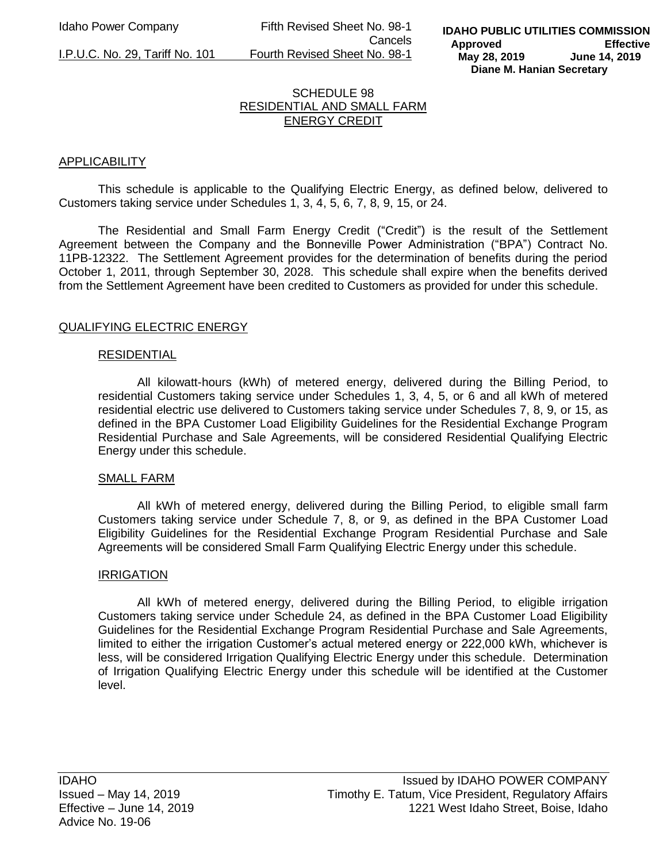Idaho Power Company Fifth Revised Sheet No. 98-1 Cancels I.P.U.C. No. 29, Tariff No. 101 Fourth Revised Sheet No. 98-1

### SCHEDULE 98 RESIDENTIAL AND SMALL FARM ENERGY CREDIT

# APPLICABILITY

This schedule is applicable to the Qualifying Electric Energy, as defined below, delivered to Customers taking service under Schedules 1, 3, 4, 5, 6, 7, 8, 9, 15, or 24.

The Residential and Small Farm Energy Credit ("Credit") is the result of the Settlement Agreement between the Company and the Bonneville Power Administration ("BPA") Contract No. 11PB-12322. The Settlement Agreement provides for the determination of benefits during the period October 1, 2011, through September 30, 2028. This schedule shall expire when the benefits derived from the Settlement Agreement have been credited to Customers as provided for under this schedule.

### QUALIFYING ELECTRIC ENERGY

#### RESIDENTIAL

All kilowatt-hours (kWh) of metered energy, delivered during the Billing Period, to residential Customers taking service under Schedules 1, 3, 4, 5, or 6 and all kWh of metered residential electric use delivered to Customers taking service under Schedules 7, 8, 9, or 15, as defined in the BPA Customer Load Eligibility Guidelines for the Residential Exchange Program Residential Purchase and Sale Agreements, will be considered Residential Qualifying Electric Energy under this schedule.

#### SMALL FARM

All kWh of metered energy, delivered during the Billing Period, to eligible small farm Customers taking service under Schedule 7, 8, or 9, as defined in the BPA Customer Load Eligibility Guidelines for the Residential Exchange Program Residential Purchase and Sale Agreements will be considered Small Farm Qualifying Electric Energy under this schedule.

#### IRRIGATION

All kWh of metered energy, delivered during the Billing Period, to eligible irrigation Customers taking service under Schedule 24, as defined in the BPA Customer Load Eligibility Guidelines for the Residential Exchange Program Residential Purchase and Sale Agreements, limited to either the irrigation Customer's actual metered energy or 222,000 kWh, whichever is less, will be considered Irrigation Qualifying Electric Energy under this schedule. Determination of Irrigation Qualifying Electric Energy under this schedule will be identified at the Customer level.